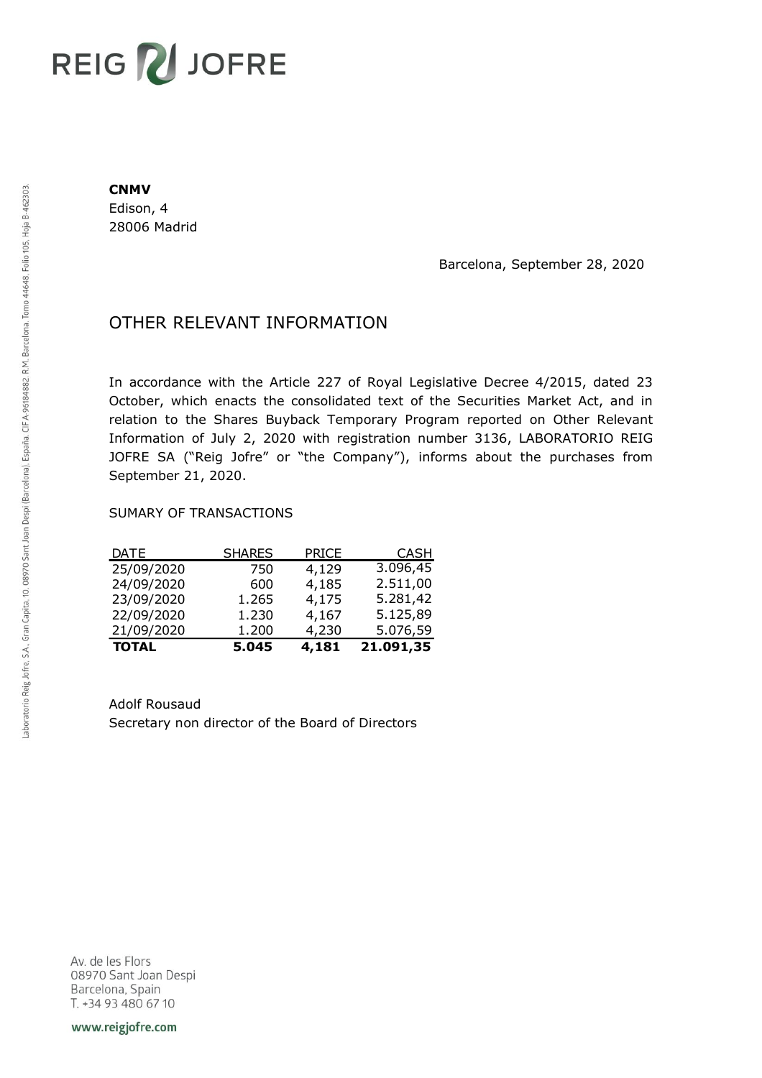# REIG V JOFRE

#### **CNMV**

Edison, 4 28006 Madrid

Barcelona, September 28, 2020

## OTHER RELEVANT INFORMATION

In accordance with the Article 227 of Royal Legislative Decree 4/2015, dated 23 October, which enacts the consolidated text of the Securities Market Act, and in relation to the Shares Buyback Temporary Program reported on Other Relevant Information of July 2, 2020 with registration number 3136, LABORATORIO REIG JOFRE SA ("Reig Jofre" or "the Company"), informs about the purchases from September 21, 2020.

#### SUMARY OF TRANSACTIONS

| <b>TOTAL</b> | 5.045         | 4,181        | 21.091,35   |
|--------------|---------------|--------------|-------------|
| 21/09/2020   | 1.200         | 4,230        | 5.076,59    |
| 22/09/2020   | 1.230         | 4,167        | 5.125,89    |
| 23/09/2020   | 1.265         | 4,175        | 5.281,42    |
| 24/09/2020   | 600           | 4,185        | 2.511,00    |
| 25/09/2020   | 750           | 4,129        | 3.096,45    |
| <b>DATE</b>  | <b>SHARES</b> | <b>PRICE</b> | <b>CASH</b> |

Adolf Rousaud Secretary non director of the Board of Directors

Av. de les Flors 08970 Sant Joan Despi Barcelona, Spain T. +34 93 480 67 10

www.reigjofre.com